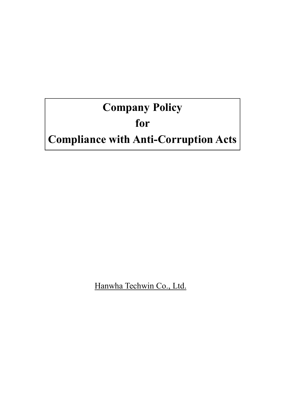# **Company Policy**

## **for**

## **Compliance with Anti-Corruption Acts**

Hanwha Techwin Co., Ltd.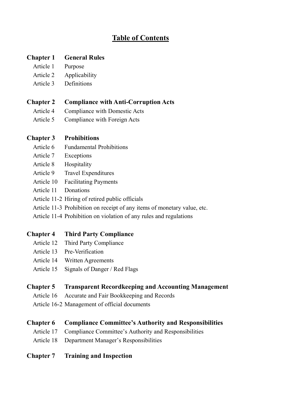## **Table of Contents**

## **Chapter 1 General Rules**

- Article 1 Purpose
- Article 2 Applicability
- Article 3 Definitions

## **Chapter 2 Compliance with Anti-Corruption Acts**

- Article 4 Compliance with Domestic Acts
- Article 5 Compliance with Foreign Acts

## **Chapter 3 Prohibitions**

- Article 6 Fundamental Prohibitions
- Article 7 Exceptions
- Article 8 Hospitality
- Article 9 Travel Expenditures
- Article 10 Facilitating Payments
- Article 11 Donations
- Article 11-2 Hiring of retired public officials
- Article 11-3 Prohibition on receipt of any items of monetary value, etc.
- Article 11-4 Prohibition on violation of any rules and regulations

## **Chapter 4 Third Party Compliance**

- Article 12 Third Party Compliance
- Article 13 Pre-Verification
- Article 14 Written Agreements
- Article 15 Signals of Danger / Red Flags

## **Chapter 5 Transparent Recordkeeping and Accounting Management**

- Article 16 Accurate and Fair Bookkeeping and Records
- Article 16-2 Management of official documents

## **Chapter 6 Compliance Committee's Authority and Responsibilities**

- Article 17 Compliance Committee's Authority and Responsibilities
- Article 18 Department Manager's Responsibilities

## **Chapter 7 Training and Inspection**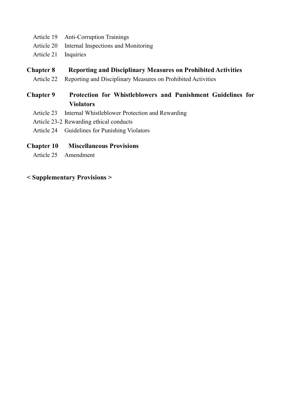- Article 19 Anti-Corruption Trainings
- Article 20 Internal Inspections and Monitoring
- Article 21 Inquiries

## **Chapter 8 Reporting and Disciplinary Measures on Prohibited Activities**

Article 22 Reporting and Disciplinary Measures on Prohibited Activities

## **Chapter 9 Protection for Whistleblowers and Punishment Guidelines for Violators**

- Article 23 Internal Whistleblower Protection and Rewarding
- Article 23-2 Rewarding ethical conducts
- Article 24 Guidelines for Punishing Violators

## **Chapter 10 Miscellaneous Provisions**

Article 25 Amendment

## **< Supplementary Provisions >**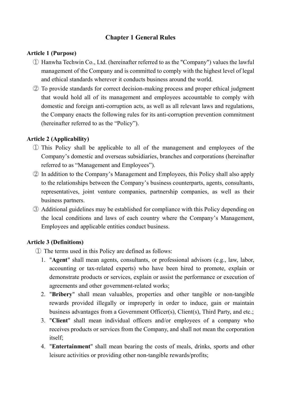## **Chapter 1 General Rules**

## **Article 1 (Purpose)**

- ① Hanwha Techwin Co., Ltd. (hereinafter referred to as the "Company") values the lawful management of the Company and is committed to comply with the highest level of legal and ethical standards wherever it conducts business around the world.
- ② To provide standards for correct decision-making process and proper ethical judgment that would hold all of its management and employees accountable to comply with domestic and foreign anti-corruption acts, as well as all relevant laws and regulations, the Company enacts the following rules for its anti-corruption prevention commitment (hereinafter referred to as the "Policy").

## **Article 2 (Applicability)**

- ① This Policy shall be applicable to all of the management and employees of the Company's domestic and overseas subsidiaries, branches and corporations (hereinafter referred to as "Management and Employees").
- ② In addition to the Company's Management and Employees, this Policy shall also apply to the relationships between the Company's business counterparts, agents, consultants, representatives, joint venture companies, partnership companies, as well as their business partners.
- ③ Additional guidelines may be established for compliance with this Policy depending on the local conditions and laws of each country where the Company's Management, Employees and applicable entities conduct business.

## **Article 3 (Definitions)**

- ① The terms used in this Policy are defined as follows:
	- 1. "**Agent**" shall mean agents, consultants, or professional advisors (e.g., law, labor, accounting or tax-related experts) who have been hired to promote, explain or demonstrate products or services, explain or assist the performance or execution of agreements and other government-related works;
	- 2. "**Bribery**" shall mean valuables, properties and other tangible or non-tangible rewards provided illegally or improperly in order to induce, gain or maintain business advantages from a Government Officer(s), Client(s), Third Party, and etc.;
	- 3. "**Client**" shall mean individual officers and/or employees of a company who receives products or services from the Company, and shall not mean the corporation itself;
	- 4. "**Entertainment**" shall mean bearing the costs of meals, drinks, sports and other leisure activities or providing other non-tangible rewards/profits;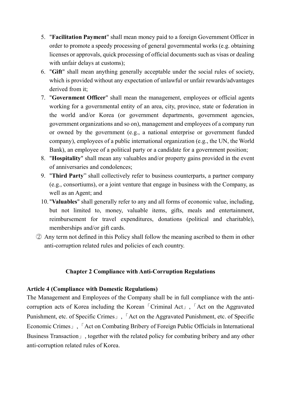- 5. "**Facilitation Payment**" shall mean money paid to a foreign Government Officer in order to promote a speedy processing of general governmental works (e.g. obtaining licenses or approvals, quick processing of official documents such as visas or dealing with unfair delays at customs);
- 6. "**Gift**" shall mean anything generally acceptable under the social rules of society, which is provided without any expectation of unlawful or unfair rewards/advantages derived from it;
- 7. "**Government Officer**" shall mean the management, employees or official agents working for a governmental entity of an area, city, province, state or federation in the world and/or Korea (or government departments, government agencies, government organizations and so on), management and employees of a company run or owned by the government (e.g., a national enterprise or government funded company), employees of a public international organization (e.g., the UN, the World Bank), an employee of a political party or a candidate for a government position;
- 8. "**Hospitality**" shall mean any valuables and/or property gains provided in the event of anniversaries and condolences;
- 9. "**Third Party**" shall collectively refer to business counterparts, a partner company (e.g., consortiums), or a joint venture that engage in business with the Company, as well as an Agent; and
- 10. "**Valuables**" shall generally refer to any and all forms of economic value, including, but not limited to, money, valuable items, gifts, meals and entertainment, reimbursement for travel expenditures, donations (political and charitable), memberships and/or gift cards.
- ② Any term not defined in this Policy shall follow the meaning ascribed to them in other anti-corruption related rules and policies of each country.

## **Chapter 2 Compliance with Anti-Corruption Regulations**

#### **Article 4 (Compliance with Domestic Regulations)**

The Management and Employees of the Company shall be in full compliance with the anticorruption acts of Korea including the Korean「Criminal Act」,「Act on the Aggravated Punishment, etc. of Specific Crimes」,「Act on the Aggravated Punishment, etc. of Specific Economic Crimes」, Act on Combating Bribery of Foreign Public Officials in International Business Transaction」, together with the related policy for combating bribery and any other anti-corruption related rules of Korea.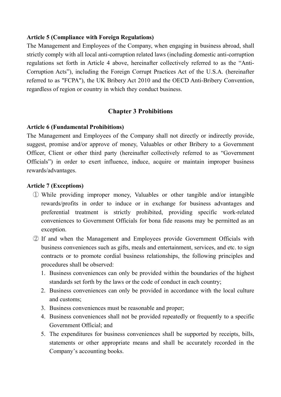#### **Article 5 (Compliance with Foreign Regulations)**

The Management and Employees of the Company, when engaging in business abroad, shall strictly comply with all local anti-corruption related laws (including domestic anti-corruption regulations set forth in Article 4 above, hereinafter collectively referred to as the "Anti-Corruption Acts"), including the Foreign Corrupt Practices Act of the U.S.A. (hereinafter referred to as "FCPA"), the UK Bribery Act 2010 and the OECD Anti-Bribery Convention, regardless of region or country in which they conduct business.

## **Chapter 3 Prohibitions**

#### **Article 6 (Fundamental Prohibitions)**

The Management and Employees of the Company shall not directly or indirectly provide, suggest, promise and/or approve of money, Valuables or other Bribery to a Government Officer, Client or other third party (hereinafter collectively referred to as "Government Officials") in order to exert influence, induce, acquire or maintain improper business rewards/advantages.

#### **Article 7 (Exceptions)**

- ① While providing improper money, Valuables or other tangible and/or intangible rewards/profits in order to induce or in exchange for business advantages and preferential treatment is strictly prohibited, providing specific work-related conveniences to Government Officials for bona fide reasons may be permitted as an exception.
- ② If and when the Management and Employees provide Government Officials with business conveniences such as gifts, meals and entertainment, services, and etc. to sign contracts or to promote cordial business relationships, the following principles and procedures shall be observed:
	- 1. Business conveniences can only be provided within the boundaries of the highest standards set forth by the laws or the code of conduct in each country;
	- 2. Business conveniences can only be provided in accordance with the local culture and customs;
	- 3. Business conveniences must be reasonable and proper;
	- 4. Business conveniences shall not be provided repeatedly or frequently to a specific Government Official; and
	- 5. The expenditures for business conveniences shall be supported by receipts, bills, statements or other appropriate means and shall be accurately recorded in the Company's accounting books.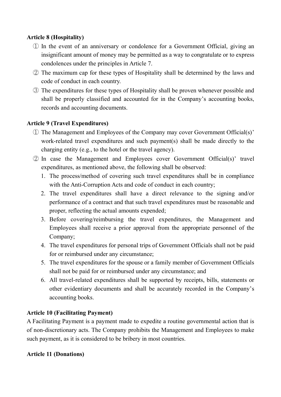## **Article 8 (Hospitality)**

- ① In the event of an anniversary or condolence for a Government Official, giving an insignificant amount of money may be permitted as a way to congratulate or to express condolences under the principles in Article 7.
- ② The maximum cap for these types of Hospitality shall be determined by the laws and code of conduct in each country.
- ③ The expenditures for these types of Hospitality shall be proven whenever possible and shall be properly classified and accounted for in the Company's accounting books, records and accounting documents.

## **Article 9 (Travel Expenditures)**

- ① The Management and Employees of the Company may cover Government Official(s)' work-related travel expenditures and such payment(s) shall be made directly to the charging entity (e.g., to the hotel or the travel agency).
- ② In case the Management and Employees cover Government Official(s)' travel expenditures, as mentioned above, the following shall be observed:
	- 1. The process/method of covering such travel expenditures shall be in compliance with the Anti-Corruption Acts and code of conduct in each country;
	- 2. The travel expenditures shall have a direct relevance to the signing and/or performance of a contract and that such travel expenditures must be reasonable and proper, reflecting the actual amounts expended;
	- 3. Before covering/reimbursing the travel expenditures, the Management and Employees shall receive a prior approval from the appropriate personnel of the Company;
	- 4. The travel expenditures for personal trips of Government Officials shall not be paid for or reimbursed under any circumstance;
	- 5. The travel expenditures for the spouse or a family member of Government Officials shall not be paid for or reimbursed under any circumstance; and
	- 6. All travel-related expenditures shall be supported by receipts, bills, statements or other evidentiary documents and shall be accurately recorded in the Company's accounting books.

## **Article 10 (Facilitating Payment)**

A Facilitating Payment is a payment made to expedite a routine governmental action that is of non-discretionary acts. The Company prohibits the Management and Employees to make such payment, as it is considered to be bribery in most countries.

## **Article 11 (Donations)**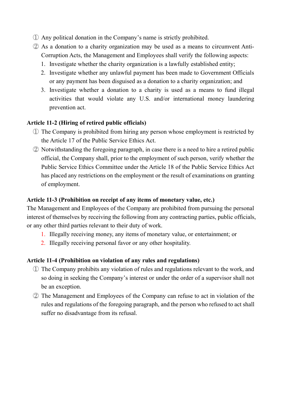- ① Any political donation in the Company's name is strictly prohibited.
- ② As a donation to a charity organization may be used as a means to circumvent Anti-Corruption Acts, the Management and Employees shall verify the following aspects:
	- 1. Investigate whether the charity organization is a lawfully established entity;
	- 2. Investigate whether any unlawful payment has been made to Government Officials or any payment has been disguised as a donation to a charity organization; and
	- 3. Investigate whether a donation to a charity is used as a means to fund illegal activities that would violate any U.S. and/or international money laundering prevention act.

## **Article 11-2 (Hiring of retired public officials)**

- ① The Company is prohibited from hiring any person whose employment is restricted by the Article 17 of the Public Service Ethics Act.
- ② Notwithstanding the foregoing paragraph, in case there is a need to hire a retired public official, the Company shall, prior to the employment of such person, verify whether the Public Service Ethics Committee under the Article 18 of the Public Service Ethics Act has placed any restrictions on the employment or the result of examinations on granting of employment.

## **Article 11-3 (Prohibition on receipt of any items of monetary value, etc.)**

The Management and Employees of the Company are prohibited from pursuing the personal interest of themselves by receiving the following from any contracting parties, public officials, or any other third parties relevant to their duty of work.

- 1. Illegally receiving money, any items of monetary value, or entertainment; or
- 2. Illegally receiving personal favor or any other hospitality.

## **Article 11-4 (Prohibition on violation of any rules and regulations)**

- ① The Company prohibits any violation of rules and regulations relevant to the work, and so doing in seeking the Company's interest or under the order of a supervisor shall not be an exception.
- ② The Management and Employees of the Company can refuse to act in violation of the rules and regulations of the foregoing paragraph, and the person who refused to act shall suffer no disadvantage from its refusal.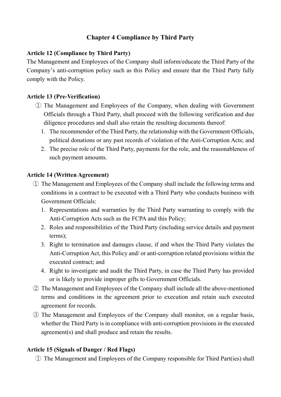## **Chapter 4 Compliance by Third Party**

## **Article 12 (Compliance by Third Party)**

The Management and Employees of the Company shall inform/educate the Third Party of the Company's anti-corruption policy such as this Policy and ensure that the Third Party fully comply with the Policy.

## **Article 13 (Pre-Verification)**

- ① The Management and Employees of the Company, when dealing with Government Officials through a Third Party, shall proceed with the following verification and due diligence procedures and shall also retain the resulting documents thereof:
	- 1. The recommender of the Third Party, the relationship with the Government Officials, political donations or any past records of violation of the Anti-Corruption Acts; and
	- 2. The precise role of the Third Party, payments for the role, and the reasonableness of such payment amounts.

## **Article 14 (Written Agreement)**

- ① The Management and Employees of the Company shall include the following terms and conditions in a contract to be executed with a Third Party who conducts business with Government Officials:
	- 1. Representations and warranties by the Third Party warranting to comply with the Anti-Corruption Acts such as the FCPA and this Policy;
	- 2. Roles and responsibilities of the Third Party (including service details and payment terms);
	- 3. Right to termination and damages clause, if and when the Third Party violates the Anti-Corruption Act, this Policy and/ or anti-corruption related provisions within the executed contract; and
	- 4. Right to investigate and audit the Third Party, in case the Third Party has provided or is likely to provide improper gifts to Government Officials.
- ② The Management and Employees of the Company shall include all the above-mentioned terms and conditions in the agreement prior to execution and retain such executed agreement for records.
- ③ The Management and Employees of the Company shall monitor, on a regular basis, whether the Third Party is in compliance with anti-corruption provisions in the executed agreement(s) and shall produce and retain the results.

## **Article 15 (Signals of Danger / Red Flags)**

① The Management and Employees of the Company responsible for Third Part(ies) shall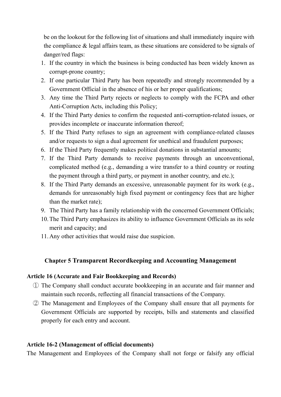be on the lookout for the following list of situations and shall immediately inquire with the compliance & legal affairs team, as these situations are considered to be signals of danger/red flags:

- 1. If the country in which the business is being conducted has been widely known as corrupt-prone country;
- 2. If one particular Third Party has been repeatedly and strongly recommended by a Government Official in the absence of his or her proper qualifications;
- 3. Any time the Third Party rejects or neglects to comply with the FCPA and other Anti-Corruption Acts, including this Policy;
- 4. If the Third Party denies to confirm the requested anti-corruption-related issues, or provides incomplete or inaccurate information thereof;
- 5. If the Third Party refuses to sign an agreement with compliance-related clauses and/or requests to sign a dual agreement for unethical and fraudulent purposes;
- 6. If the Third Party frequently makes political donations in substantial amounts;
- 7. If the Third Party demands to receive payments through an unconventional, complicated method (e.g., demanding a wire transfer to a third country or routing the payment through a third party, or payment in another country, and etc.);
- 8. If the Third Party demands an excessive, unreasonable payment for its work (e.g., demands for unreasonably high fixed payment or contingency fees that are higher than the market rate);
- 9. The Third Party has a family relationship with the concerned Government Officials;
- 10.The Third Party emphasizes its ability to influence Government Officials as its sole merit and capacity; and
- 11.Any other activities that would raise due suspicion.

## **Chapter 5 Transparent Recordkeeping and Accounting Management**

#### **Article 16 (Accurate and Fair Bookkeeping and Records)**

- ① The Company shall conduct accurate bookkeeping in an accurate and fair manner and maintain such records, reflecting all financial transactions of the Company.
- ② The Management and Employees of the Company shall ensure that all payments for Government Officials are supported by receipts, bills and statements and classified properly for each entry and account.

## **Article 16-2 (Management of official documents)**

The Management and Employees of the Company shall not forge or falsify any official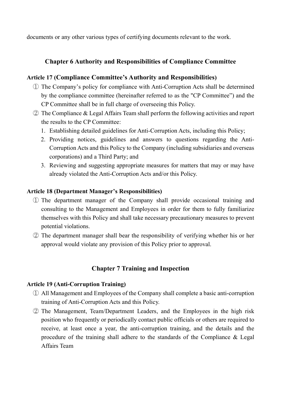documents or any other various types of certifying documents relevant to the work.

## **Chapter 6 Authority and Responsibilities of Compliance Committee**

## **Article 17 (Compliance Committee's Authority and Responsibilities)**

- ① The Company's policy for compliance with Anti-Corruption Acts shall be determined by the compliance committee (hereinafter referred to as the "CP Committee") and the CP Committee shall be in full charge of overseeing this Policy.
- ② The Compliance & Legal Affairs Team shall perform the following activities and report the results to the CP Committee:
	- 1. Establishing detailed guidelines for Anti-Corruption Acts, including this Policy;
	- 2. Providing notices, guidelines and answers to questions regarding the Anti-Corruption Acts and this Policy to the Company (including subsidiaries and overseas corporations) and a Third Party; and
	- 3. Reviewing and suggesting appropriate measures for matters that may or may have already violated the Anti-Corruption Acts and/or this Policy.

## **Article 18 (Department Manager's Responsibilities)**

- ① The department manager of the Company shall provide occasional training and consulting to the Management and Employees in order for them to fully familiarize themselves with this Policy and shall take necessary precautionary measures to prevent potential violations.
- ② The department manager shall bear the responsibility of verifying whether his or her approval would violate any provision of this Policy prior to approval.

## **Chapter 7 Training and Inspection**

## **Article 19 (Anti-Corruption Training)**

- ① All Management and Employees of the Company shall complete a basic anti-corruption training of Anti-Corruption Acts and this Policy.
- ② The Management, Team/Department Leaders, and the Employees in the high risk position who frequently or periodically contact public officials or others are required to receive, at least once a year, the anti-corruption training, and the details and the procedure of the training shall adhere to the standards of the Compliance & Legal Affairs Team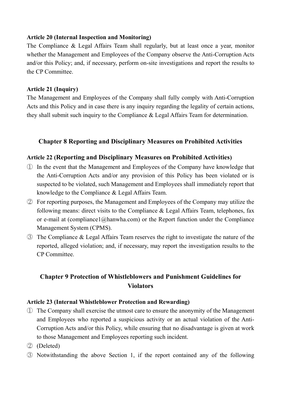## **Article 20 (Internal Inspection and Monitoring)**

The Compliance & Legal Affairs Team shall regularly, but at least once a year, monitor whether the Management and Employees of the Company observe the Anti-Corruption Acts and/or this Policy; and, if necessary, perform on-site investigations and report the results to the CP Committee.

## **Article 21 (Inquiry)**

The Management and Employees of the Company shall fully comply with Anti-Corruption Acts and this Policy and in case there is any inquiry regarding the legality of certain actions, they shall submit such inquiry to the Compliance & Legal Affairs Team for determination.

## **Chapter 8 Reporting and Disciplinary Measures on Prohibited Activities**

## **Article 22 (Reporting and Disciplinary Measures on Prohibited Activities)**

- ① In the event that the Management and Employees of the Company have knowledge that the Anti-Corruption Acts and/or any provision of this Policy has been violated or is suspected to be violated, such Management and Employees shall immediately report that knowledge to the Compliance & Legal Affairs Team.
- ② For reporting purposes, the Management and Employees of the Company may utilize the following means: direct visits to the Compliance & Legal Affairs Team, telephones, fax or e-mail at (compliance1@hanwha.com) or the Report function under the Compliance Management System (CPMS).
- ③ The Compliance & Legal Affairs Team reserves the right to investigate the nature of the reported, alleged violation; and, if necessary, may report the investigation results to the CP Committee.

## **Chapter 9 Protection of Whistleblowers and Punishment Guidelines for Violators**

## **Article 23 (Internal Whistleblower Protection and Rewarding)**

- ① The Company shall exercise the utmost care to ensure the anonymity of the Management and Employees who reported a suspicious activity or an actual violation of the Anti-Corruption Acts and/or this Policy, while ensuring that no disadvantage is given at work to those Management and Employees reporting such incident.
- ② (Deleted)
- ③ Notwithstanding the above Section 1, if the report contained any of the following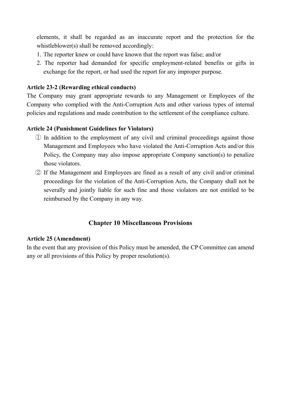elements, it shall be regarded as an inaccurate report and the protection for the whistleblower(s) shall be removed accordingly:

- 1. The reporter knew or could have known that the report was false; and/or
- 2. The reporter had demanded for specific employment-related benefits or gifts in exchange for the report, or had used the report for any improper purpose.

## **Article 23-2 (Rewarding ethical conducts)**

The Company may grant appropriate rewards to any Management or Employees of the Company who complied with the Anti-Corruption Acts and other various types of internal policies and regulations and made contribution to the settlement of the compliance culture.

## **Article 24 (Punishment Guidelines for Violators)**

- ① In addition to the employment of any civil and criminal proceedings against those Management and Employees who have violated the Anti-Corruption Acts and/or this Policy, the Company may also impose appropriate Company sanction(s) to penalize those violators.
- ② If the Management and Employees are fined as a result of any civil and/or criminal proceedings for the violation of the Anti-Corruption Acts, the Company shall not be severally and jointly liable for such fine and those violators are not entitled to be reimbursed by the Company in any way.

## **Chapter 10 Miscellaneous Provisions**

## **Article 25 (Amendment)**

In the event that any provision of this Policy must be amended, the CP Committee can amend any or all provisions of this Policy by proper resolution(s).